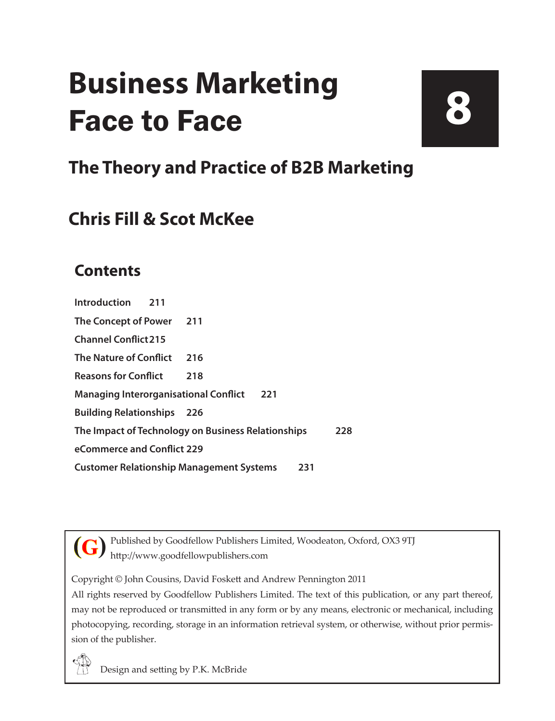## **Business Marketing** Face to Face

# **8**

### **The Theory and Practice of B2B Marketing**

### **Chris Fill & Scot McKee**

### **Contents**

**[Introduction](#page--1-0) 211 [The Concept of Power](#page--1-0) 211 [Channel Conflict215](#page--1-0) [The Nature of Conflict](#page--1-0) 216 [Reasons for Conflict](#page--1-0) 218 [Managing Interorganisational Conflict](#page--1-0) 221 [Building Relationships](#page--1-0) 226 [The Impact of Technology on Business Relationships](#page--1-0) 228 [eCommerce and Conflict](#page--1-0) 229 [Customer Relationship Management Systems](#page--1-0) 231**



Published by Goodfellow Publishers Limited, Woodeaton, Oxford, OX3 9TJ http://www.goodfellowpublishers.com

Copyright © John Cousins, David Foskett and Andrew Pennington 2011

All rights reserved by Goodfellow Publishers Limited. The text of this publication, or any part thereof, may not be reproduced or transmitted in any form or by any means, electronic or mechanical, including photocopying, recording, storage in an information retrieval system, or otherwise, without prior permission of the publisher.



Design and setting by P.K. McBride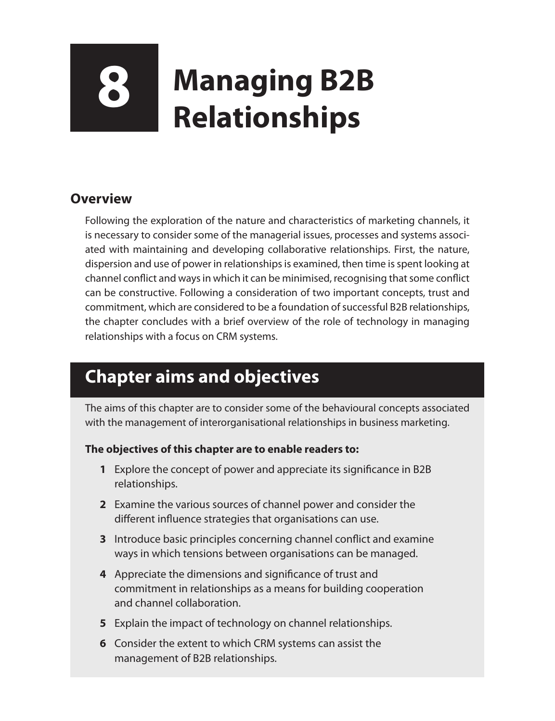# **8 Managing B2B Relationships**

#### **Overview**

Following the exploration of the nature and characteristics of marketing channels, it is necessary to consider some of the managerial issues, processes and systems associated with maintaining and developing collaborative relationships. First, the nature, dispersion and use of power in relationships is examined, then time is spent looking at channel conflict and ways in which it can be minimised, recognising that some conflict can be constructive. Following a consideration of two important concepts, trust and commitment, which are considered to be a foundation of successful B2B relationships, the chapter concludes with a brief overview of the role of technology in managing relationships with a focus on CRM systems.

### **Chapter aims and objectives**

The aims of this chapter are to consider some of the behavioural concepts associated with the management of interorganisational relationships in business marketing.

#### **The objectives of this chapter are to enable readers to:**

- **1** Explore the concept of power and appreciate its significance in B2B relationships.
- **2** Examine the various sources of channel power and consider the different influence strategies that organisations can use.
- **3** Introduce basic principles concerning channel conflict and examine ways in which tensions between organisations can be managed.
- **4** Appreciate the dimensions and significance of trust and commitment in relationships as a means for building cooperation and channel collaboration.
- **5** Explain the impact of technology on channel relationships.
- **6** Consider the extent to which CRM systems can assist the management of B2B relationships.